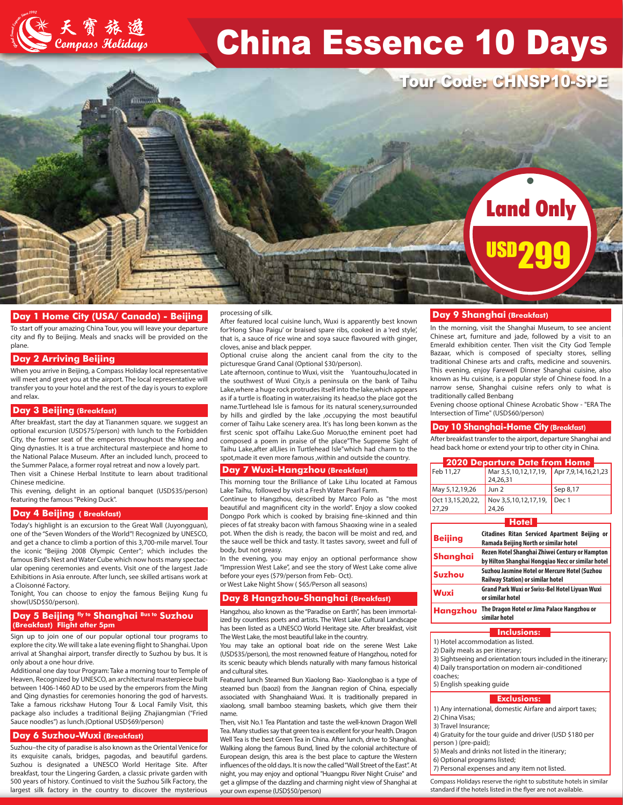

# China Essence 10 Days

 Tour Code: CHNSP10-SPE **THERE** Land Only **USD299** 

### **Day 1 Home City (USA/ Canada) - Beijing**

To start off your amazing China Tour, you will leave your departure city and fly to Beijing. Meals and snacks will be provided on the plane.

### **Day 2 Arriving Beijing**

When you arrive in Beijing, a Compass Holiday local representative will meet and greet you at the airport. The local representative will transfer you to your hotel and the rest of the day is yours to explore and relax.

### **Day 3 Beijing (Breakfast)**

After breakfast, start the day at Tiananmen square. we suggest an optional excursion (USD\$75/person) with lunch to the Forbidden City, the former seat of the emperors throughout the Ming and Qing dynasties. It is a true architectural masterpiece and home to the National Palace Museum. After an included lunch, proceed to the Summer Palace, a former royal retreat and now a lovely part. Then visit a Chinese Herbal Institute to learn about traditional Chinese medicine.

This evening, delight in an optional banquet (USD\$35/person) featuring the famous "Peking Duck".

### **Day 4 Beijing ( Breakfast)**

Today's highlight is an excursion to the Great Wall (Juyongguan), one of the "Seven Wonders of the World"! Recognized by UNESCO, and get a chance to climb a portion of this 3,700-mile marvel. Tour the iconic "Beijing 2008 Olympic Center"; which includes the famous Bird's Nest and Water Cube which now hosts many spectacular opening ceremonies and events. Visit one of the largest Jade Exhibitions in Asia enroute. After lunch, see skilled artisans work at a Cloisonné Factory.

Tonight, You can choose to enjoy the famous Beijing Kung fu show(USD\$50/person).

### Day 5 Beijing fly to Shanghai Bus to Suzhou **(Breakfast) Flight after 5pm**

Sign up to join one of our popular optional tour programs to explore the city. We will take a late evening flight to Shanghai. Upon arrival at Shanghai airport, transfer directly to Suzhou by bus. It is only about a one hour drive.

Additional one day tour Program: Take a morning tour to Temple of Heaven, Recognized by UNESCO, an architectural masterpiece built between 1406-1460 AD to be used by the emperors from the Ming and Qing dynasties for ceremonies honoring the god of harvests. Take a famous rickshaw Hutong Tour & Local Family Visit, this package also includes a traditional Beijing Zhajiangmian ("Fried Sauce noodles") as lunch.(Optional USD\$69/person)

### **Day 6 Suzhou-Wuxi (Breakfast)**

Suzhou–the city of paradise is also known as the Oriental Venice for its exquisite canals, bridges, pagodas, and beautiful gardens. Suzhou is designated a UNESCO World Heritage Site. After breakfast, tour the Lingering Garden, a classic private garden with 500 years of history. Continued to visit the Suzhou Silk Factory, the largest silk factory in the country to discover the mysterious

### processing of silk.

After featured local cuisine lunch, Wuxi is apparently best known for'Hong Shao Paigu' or braised spare ribs, cooked in a 'red style', that is, a sauce of rice wine and soya sauce flavoured with ginger, cloves, anise and black pepper.

Optional cruise along the ancient canal from the city to the picturesque Grand Canal (Optional \$30/person).

Late afternoon, continue to Wuxi, visit the Yuantouzhu,located in the southwest of Wuxi City,is a peninsula on the bank of Taihu Lake,where a huge rock protrudes itself into the lake,which appears as if a turtle is floating in water, raising its head, so the place got the name.Turtlehead lsle is famous for its natural scenery,surrounded by hills and girdled by the lake ,occupying the most beautiful corner of Taihu Lake scenery area. It's has long been konwn as the first scenic spot ofTaihu Lake.Guo Moruo,the eminent poet had composed a poem in praise of the place"The Supreme Sight of Taihu Lake,after all,lies in Turtlehead lsle"which had charm to the spot,made it even more famous ,within and outside the country.

### **Day 7 Wuxi-Hangzhou (Breakfast)**

This morning tour the Brilliance of Lake Lihu located at Famous Lake Taihu, followed by visit a Fresh Water Pearl Farm.

Continue to Hangzhou, described by Marco Polo as "the most beautiful and magnificent city in the world". Enjoy a slow cooked Dongpo Pork which is cooked by braising fine-skinned and thin pieces of fat streaky bacon with famous Shaoxing wine in a sealed pot. When the dish is ready, the bacon will be moist and red, and the sauce well be thick and tasty. It tastes savory, sweet and full of body, but not greasy.

In the evening, you may enjoy an optional performance show "Impression West Lake", and see the story of West Lake come alive before your eyes (\$79/person from Feb- Oct).

or West Lake Night Show ( \$65/Person all seasons)

### **Day 8 Hangzhou-Shanghai (Breakfast)**

Hangzhou, also known as the "Paradise on Earth", has been immortalized by countless poets and artists. The West Lake Cultural Landscape has been listed as a UNESCO World Heritage site. After breakfast, visit The West Lake, the most beautiful lake in the country.

You may take an optional boat ride on the serene West Lake (USD\$35/person), the most renowned feature of Hangzhou, noted for its scenic beauty which blends naturally with many famous historical and cultural sites.

Featured lunch Steamed Bun Xiaolong Bao- Xiaolongbao is a type of steamed bun (baozi) from the Jiangnan region of China, especially associated with Shanghaiand Wuxi. It is traditionally prepared in xiaolong, small bamboo steaming baskets, which give them their name.

Then, visit No.1 Tea Plantation and taste the well-known Dragon Well Tea. Many studies say that green tea is excellent for your health. Dragon Well Tea is the best Green Tea in China. After lunch, drive to Shanghai. Walking along the famous Bund, lined by the colonial architecture of European design, this area is the best place to capture the Western influences of the old days. It is now the called "Wall Street of the East". At night, you may enjoy and optional "Huangpu River Night Cruise" and get a glimpse of the dazzling and charming night view of Shanghai at your own expense (USD\$50/person)

### **Day 9 Shanghai (Breakfast)**

In the morning, visit the Shanghai Museum, to see ancient Chinese art, furniture and jade, followed by a visit to an Emerald exhibition center. Then visit the City God Temple Bazaar, which is composed of specialty stores, selling traditional Chinese arts and crafts, medicine and souvenirs. This evening, enjoy Farewell Dinner Shanghai cuisine, also known as Hu cuisine, is a popular style of Chinese food. In a narrow sense, Shanghai cuisine refers only to what is traditionally called Benbang

Evening choose optional Chinese Acrobatic Show - "ERA The Intersection of Time" (USD\$60/person)

### **Day 10 Shanghai-Home City (Breakfast)**

After breakfast transfer to the airport, departure Shanghai and head back home or extend your trip to other city in China.

| <b>2020 Departure Date from Home</b> |                           |                                                      |            |  |
|--------------------------------------|---------------------------|------------------------------------------------------|------------|--|
|                                      | Feb 11,27                 | Mar 3,5,10,12,17,19, Apr 7,9,14,16,21,23<br>24,26,31 |            |  |
|                                      | May 5,12,19,26            | Jun <sub>2</sub>                                     | Sep $8,17$ |  |
|                                      | Oct 13,15,20,22,<br>27,29 | Nov 3,5,10,12,17,19, Dec 1<br>24.26                  |            |  |

| <b>Hotel</b>   |                                                                                                     |  |  |
|----------------|-----------------------------------------------------------------------------------------------------|--|--|
|                |                                                                                                     |  |  |
| <b>Beijing</b> | Citadines Ritan Serviced Apartment Beijing or<br>Ramada Beijing North or similar hotel              |  |  |
| Shanghai       | Rezen Hotel Shanghai Zhiwei Century or Hampton<br>by Hilton Shanghai Honggiao Necc or similar hotel |  |  |
| Suzhou         | Suzhou Jasmine Hotel or Mercure Hotel (Suzhou<br><b>Railway Station) or similar hotel</b>           |  |  |
| Wuxi           | Grand Park Wuxi or Swiss-Bel Hotel Livuan Wuxi<br>or similar hotel                                  |  |  |
| Hangzhou       | The Dragon Hotel or Jima Palace Hangzhou or<br>similar hotel                                        |  |  |

### **Inclusions:**

- 1) Hotel accommodation as listed.
- 2) Daily meals as per itinerary;
- 3) Sightseeing and orientation tours included in the itinerary;
- 4) Daily transportation on modern air-conditioned
- coaches; 5) English speaking guide

- **Exclusions:**  1) Any international, domestic Airfare and airport taxes;
- 2) China Visas;
- 3) Travel Insurance;
- 4) Gratuity for the tour guide and driver (USD \$180 per person ) (pre-paid);
- 5) Meals and drinks not listed in the itinerary;
- 6) Optional programs listed;
- 7) Personal expenses and any item not listed.

Compass Holidays reserve the right to substitute hotels in similar standard if the hotels listed in the flyer are not available.